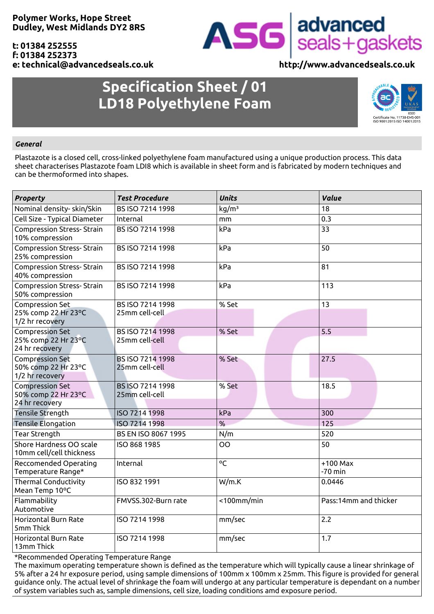**Polymer Works, Hope Street Dudley, West Midlands DY2 8RS**

### **t: 01384 252555 f: 01384 252373 e: technical@advancedseals.co.uk http://www.advancedseals.co.uk**

## **Specification Sheet / 01 LD18 Polyethylene Foam**



ASG advanced<br>seals+gaskets



### *General*

Plastazote is a closed cell, cross-linked polyethylene foam manufactured using a unique production process. This data sheet characterises Plastazote foam LDI8 which is available in sheet form and is fabricated by modern techniques and can be thermoformed into shapes.

| <b>Property</b>                                      | <b>Test Procedure</b>                     | <b>Units</b>      | <b>Value</b>            |
|------------------------------------------------------|-------------------------------------------|-------------------|-------------------------|
| Nominal density-skin/Skin                            | BS ISO 7214 1998                          | kg/m <sup>3</sup> | 18                      |
| Cell Size - Typical Diameter                         | Internal                                  | mm                | 0.3                     |
| <b>Compression Stress- Strain</b><br>10% compression | BS ISO 7214 1998                          | kPa               | 33                      |
| <b>Compression Stress- Strain</b><br>25% compression | BS ISO 7214 1998                          | kPa               | 50                      |
| <b>Compression Stress- Strain</b><br>40% compression | BS ISO 7214 1998                          | kPa               | 81                      |
| <b>Compression Stress- Strain</b><br>50% compression | BS ISO 7214 1998                          | kPa               | 113                     |
| <b>Compression Set</b>                               | BS ISO 7214 1998                          | % Set             | 13                      |
| 25% comp 22 Hr 23°C<br>1/2 hr recovery               | 25mm cell-cell                            |                   |                         |
| <b>Compression Set</b>                               | BS ISO 7214 1998                          | % Set             | 5.5                     |
| 25% comp 22 Hr 23°C<br>24 hr recovery                | 25mm cell-cell                            |                   |                         |
| <b>Compression Set</b><br>50% comp 22 Hr 23°C        | <b>BS ISO 7214 1998</b><br>25mm cell-cell | % Set             | 27.5                    |
| 1/2 hr recovery                                      |                                           |                   |                         |
| <b>Compression Set</b>                               | BS ISO 7214 1998                          | % Set             | 18.5                    |
| 50% comp 22 Hr 23°C<br>24 hr recovery                | 25mm cell-cell                            |                   |                         |
| <b>Tensile Strength</b>                              | ISO 7214 1998                             | kPa               | 300                     |
| <b>Tensile Elongation</b>                            | ISO 7214 1998                             | %                 | 125                     |
| <b>Tear Strength</b>                                 | BS EN ISO 8067 1995                       | N/m               | 520                     |
| Shore Hardness OO scale<br>10mm cell/cell thickness  | ISO 868 1985                              | <b>OO</b>         | 50                      |
| Reccomended Operating<br>Temperature Range*          | Internal                                  | °C                | $+100$ Max<br>$-70$ min |
| <b>Thermal Conductivity</b><br>Mean Temp 10°C        | ISO 832 1991                              | W/m.K             | 0.0446                  |
| Flammability<br>Automotive                           | FMVSS.302-Burn rate                       | $<$ 100mm/min     | Pass:14mm and thicker   |
| Horizontal Burn Rate<br>5mm Thick                    | ISO 7214 1998                             | mm/sec            | 2.2                     |
| Horizontal Burn Rate<br>13mm Thick                   | ISO 7214 1998                             | mm/sec            | 1.7                     |

\*Recommended Operating Temperature Range

The maximum operating temperature shown is defined as the temperature which will typically cause a linear shrinkage of 5% after a 24 hr exposure period, using sample dimensions of 100mm x 100mm x 25mm. This figure is provided for general guidance only. The actual level of shrinkage the foam will undergo at any particular temperature is dependant on a number of system variables such as, sample dimensions, cell size, loading conditions amd exposure period.